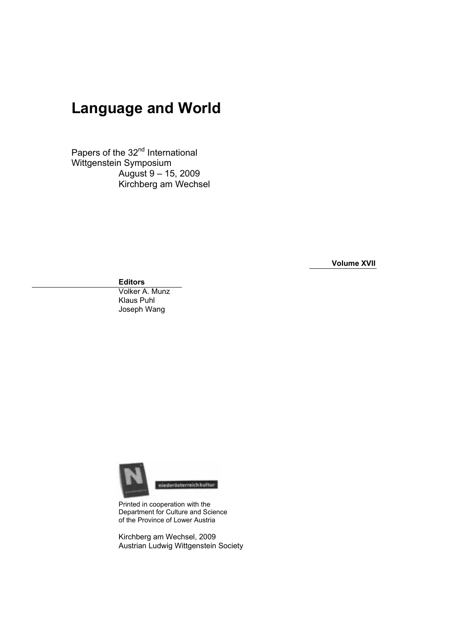# **Language and World**

Papers of the 32<sup>nd</sup> International Wittgenstein Symposium August 9 – 15, 2009 Kirchberg am Wechsel

**Volume XVII** 

**Editors** 

Volker A. Munz Klaus Puhl Joseph Wang



Printed in cooperation with the Department for Culture and Science of the Province of Lower Austria

Kirchberg am Wechsel, 2009 Austrian Ludwig Wittgenstein Society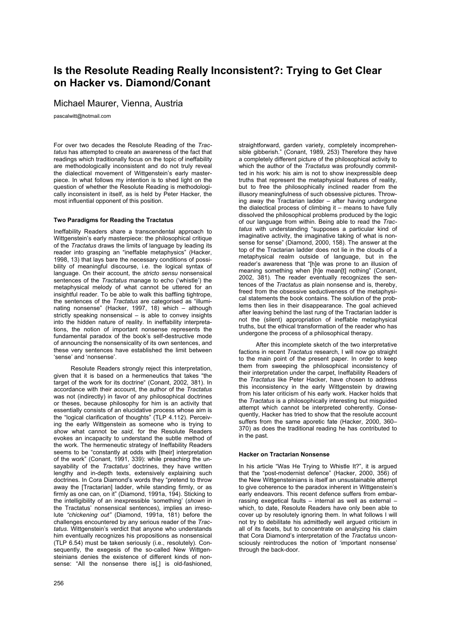## **Is the Resolute Reading Really Inconsistent?: Trying to Get Clear on Hacker vs. Diamond/Conant**

Michael Maurer, Vienna, Austria

pascalwitt@hotmail.com

For over two decades the Resolute Reading of the *Tractatus* has attempted to create an awareness of the fact that readings which traditionally focus on the topic of ineffability are methodologically inconsistent and do not truly reveal the dialectical movement of Wittgenstein's early masterpiece. In what follows my intention is to shed light on the question of whether the Resolute Reading is methodologically inconsistent in itself, as is held by Peter Hacker, the most influential opponent of this position.

### **Two Paradigms for Reading the Tractatus**

Ineffability Readers share a transcendental approach to Wittgenstein's early masterpiece: the philosophical critique of the *Tractatus* draws the limits of language by leading its reader into grasping an "ineffable metaphysics" (Hacker, 1998, 13) that lays bare the necessary conditions of possibility of meaningful discourse, i.e. the logical syntax of language. On their account, the *stricto sensu* nonsensical sentences of the *Tractatus* manage to echo ('whistle') the metaphysical melody of what cannot be uttered for an insightful reader. To be able to walk this baffling tightrope, the sentences of the *Tractatus* are categorised as "illuminating nonsense" (Hacker, 1997, 18) which – although strictly speaking nonsensical – is able to convey insights into the hidden nature of reality. In ineffability interpretations, the notion of important nonsense represents the fundamental paradox of the book's self-destructive mode of announcing the nonsensicality of its own sentences, and these very sentences have established the limit between 'sense' and 'nonsense'.

Resolute Readers strongly reject this interpretation, given that it is based on a hermeneutics that takes "the target of the work for its doctrine" (Conant, 2002, 381). In accordance with their account, the author of the *Tractatus*  was not (indirectly) in favor of any philosophical doctrines or theses, because philosophy for him is an activity that essentially consists of an elucidative process whose aim is the "logical clarification of thoughts" (TLP 4.112). Perceiving the early Wittgenstein as someone who is trying to *show* what cannot be *said,* for the Resolute Readers evokes an incapacity to understand the subtle method of the work. The hermeneutic strategy of Ineffability Readers seems to be "constantly at odds with [their] interpretation of the work" (Conant, 1991, 339): while preaching the unsayability of the *Tractatus'* doctrines, they have written lengthy and in-depth texts, extensively explaining such doctrines. In Cora Diamond's words they "pretend to throw away the [Tractarian] ladder, while standing firmly, or as firmly as one can, on it" (Diamond, 1991a, 194). Sticking to the intelligibility of an inexpressible 'something' (*shown* in the Tractatus' nonsensical sentences), implies an irresolute *"chickening out"* (Diamond, 1991a, 181) before the challenges encountered by any serious reader of the *Tractatus*. Wittgenstein's verdict that anyone who understands him eventually recognizes his propositions as nonsensical (TLP 6.54) must be taken seriously (i.e., resolutely). Consequently, the exegesis of the so-called New Wittgensteinians denies the existence of different kinds of nonsense: "All the nonsense there is[,] is old-fashioned,

straightforward, garden variety, completely incomprehensible gibberish." (Conant, 1989, 253) Therefore they have a completely different picture of the philosophical activity to which the author of the *Tractatus* was profoundly committed in his work: his aim is not to show inexpressible deep truths that represent the metaphysical features of reality, but to free the philosophically inclined reader from the illusory meaningfulness of such obsessive pictures. Throwing away the Tractarian ladder – after having undergone the dialectical process of climbing it – means to have fully dissolved the philosophical problems produced by the logic of our language from within. Being able to read the *Tractatus* with understanding "supposes a particular kind of imaginative activity, the imaginative taking of what is nonsense for sense" (Diamond, 2000, 158). The answer at the top of the Tractarian ladder does not lie in the clouds of a metaphysical realm outside of language, but in the reader's awareness that "[h]e was prone to an illusion of meaning something when [h]e mean[t] nothing" (Conant, 2002, 381). The reader eventually recognizes the sentences of the *Tractatus* as plain nonsense and is, thereby, freed from the obsessive seductiveness of the metaphysical statements the book contains. The solution of the problems then lies in their disappearance. The goal achieved after leaving behind the last rung of the Tractarian ladder is not the (silent) appropriation of ineffable metaphysical truths, but the ethical transformation of the reader who has undergone the process of a philosophical therapy.

After this incomplete sketch of the two interpretative factions in recent *Tractatus* research, I will now go straight to the main point of the present paper. In order to keep them from sweeping the philosophical inconsistency of their interpretation under the carpet, Ineffability Readers of the *Tractatus* like Peter Hacker, have chosen to address this inconsistency in the early Wittgenstein by drawing from his later criticism of his early work. Hacker holds that the *Tractatus* is a philosophically interesting but misguided attempt which cannot be interpreted coherently. Consequently, Hacker has tried to show that the resolute account suffers from the same aporetic fate (Hacker, 2000, 360– 370) as does the traditional reading he has contributed to in the past.

### **Hacker on Tractarian Nonsense**

In his article "Was He Trying to Whistle It?", it is argued that the "post-modernist defence" (Hacker, 2000, 356) of the New Wittgensteinians is itself an unsustainable attempt to give coherence to the paradox inherent in Wittgenstein's early endeavors. This recent defence suffers from embarrassing exegetical faults – internal as well as external – which, to date, Resolute Readers have only been able to cover up by resolutely ignoring them. In what follows I will not try to debilitate his admittedly well argued criticism in all of its facets, but to concentrate on analyzing his claim that Cora Diamond's interpretation of the *Tractatus* unconsciously reintroduces the notion of 'important nonsense' through the back-door.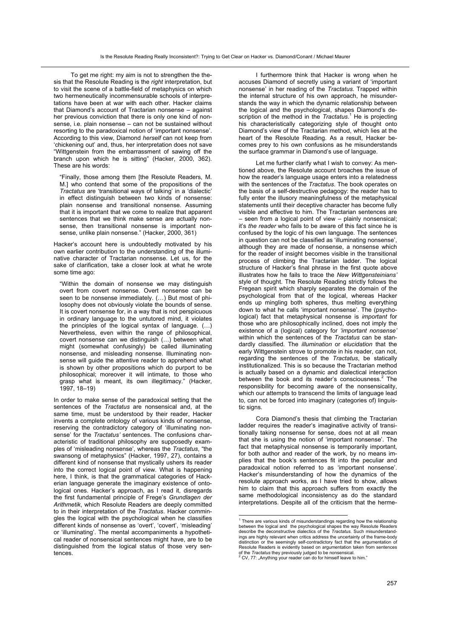To get me right: my aim is not to strengthen the thesis that the Resolute Reading is the *right* interpretation, but to visit the scene of a battle-field of metaphysics on which two hermeneutically incommensurable schools of interpretations have been at war with each other. Hacker claims that Diamond's account of Tractarian nonsense – against her previous conviction that there is only one kind of nonsense, i.e. plain nonsense – can not be sustained without resorting to the paradoxical notion of 'important nonsense'. According to this view, Diamond *herself* can not keep from 'chickening out' and, thus, her interpretation does not save "Wittgenstein from the embarrassment of sawing off the branch upon which he is sitting" (Hacker, 2000, 362). These are his words:

"Finally, those among them [the Resolute Readers, M. M.] who contend that some of the propositions of the *Tractatus* are 'transitional ways of talking' in a 'dialectic' in effect distinguish between two kinds of nonsense: plain nonsense and transitional nonsense. Assuming that it is important that we come to realize that apparent sentences that we think make sense are actually nonsense, then transitional nonsense is important nonsense, unlike plain nonsense." (Hacker, 2000, 361)

Hacker's account here is undoubtedly motivated by his own earlier contribution to the understanding of the illuminative character of Tractarian nonsense. Let us, for the sake of clarification, take a closer look at what he wrote some time ago:

"Within the domain of nonsense we may distinguish overt from covert nonsense. Overt nonsense can be seen to be nonsense immediately. (…) But most of philosophy does not obviously violate the bounds of sense. It is covert nonsense for, in a way that is not perspicuous in ordinary language to the untutored mind, it violates the principles of the logical syntax of language. (…) Nevertheless, even within the range of philosophical, covert nonsense can we distinguish (…) between what might (somewhat confusingly) be called illuminating nonsense, and misleading nonsense. Illuminating nonsense will guide the attentive reader to apprehend what is shown by other propositions which do purport to be philosophical; moreover it will intimate, to those who grasp what is meant, its own illegitimacy." (Hacker, 1997, 18–19)

In order to make sense of the paradoxical setting that the sentences of the *Tractatus* are nonsensical and, at the same time, must be understood by their reader, Hacker invents a complete ontology of various kinds of nonsense, reserving the contradictory category of 'illuminating nonsense' for the *Tractatus'* sentences. The confusions characteristic of traditional philosophy are supposedly examples of 'misleading nonsense', whereas the *Tractatus*, "the swansong of metaphysics" (Hacker, 1997, 27), contains a different kind of nonsense that mystically ushers its reader into the correct logical point of view. What is happening here, I think, is that the grammatical categories of Hackerian language generate the imaginary existence of ontological ones. Hacker's approach, as I read it, disregards the first fundamental principle of Frege's *Grundlagen der Arithmetik*, which Resolute Readers are deeply committed to in their interpretation of the *Tractatus*. Hacker commingles the logical with the psychological when he classifies different kinds of nonsense as 'overt', 'covert', 'misleading' or 'illuminating'. The mental accompaniments a hypothetical reader of nonsensical sentences might have, are to be distinguished from the logical status of those very sentences.

I furthermore think that Hacker is wrong when he accuses Diamond of secretly using a variant of 'important nonsense' in her reading of the *Tractatus*. Trapped within the internal structure of his own approach, he misunderstands the way in which the dynamic relationship between the logical and the psychological, shapes Diamond's description of the method in the *Tractatus*.<sup>1</sup> He is projecting his characteristically categorizing style of thought onto Diamond's view of the Tractarian method, which lies at the heart of the Resolute Reading. As a result, Hacker becomes prey to his own confusions as he misunderstands the surface grammar in Diamond's use of language.

Let me further clarify what I wish to convey: As mentioned above, the Resolute account broaches the issue of how the reader's language usage enters into a relatedness with the sentences of the *Tractatus*. The book operates on the basis of a self-destructive pedagogy: the reader has to fully enter the illusory meaningfulness of the metaphysical statements until their deceptive character has become fully visible and effective to him. The Tractarian sentences are – seen from a logical point of view – plainly nonsensical; it's *the reader* who fails to be aware of this fact since he is confused by the logic of his own language. The sentences in question can not be classified as 'illuminating nonsense', although they are made of nonsense, a nonsense which for the reader of insight becomes visible in the transitional process of climbing the Tractarian ladder. The logical structure of Hacker's final phrase in the first quote above illustrates how he fails to trace the *New Wittgensteinians'* style of thought. The Resolute Reading strictly follows the Fregean spirit which sharply separates the domain of the psychological from that of the logical, whereas Hacker ends up mingling both spheres, thus melting everything down to what he calls 'important nonsense'. The (psychological) fact that metaphysical nonsense is *important* for those who are philosophically inclined, does not imply the existence of a (logical) category for *'important nonsense'* within which the sentences of the *Tractatus* can be standardly classified. The *illumination* or *elucidation* that the early Wittgenstein strove to promote in his reader, can not, regarding the sentences of the *Tractatus*, be statically institutionalized. This is so because the Tractarian method is actually based on a dynamic and dialectical interaction between the book and its reader's consciousness.<sup>2</sup> The responsibility for becoming aware of the nonsensicality, which our attempts to transcend the limits of language lead to, can not be forced into imaginary (categories of) linguistic signs.

Cora Diamond's thesis that climbing the Tractarian ladder requires the reader's imaginative activity of transitionally taking nonsense for sense, does not at all mean that she is using the notion of 'important nonsense'. The fact that metaphysical nonsense is temporarily important, for both author and reader of the work, by no means implies that the book's sentences fit into the peculiar and paradoxical notion referred to as 'important nonsense'. Hacker's misunderstanding of how the dynamics of the resolute approach works, as I have tried to show, allows him to claim that this approach suffers from exactly the same methodological inconsistency as do the standard interpretations. Despite all of the criticism that the herme-

 1 There are various kinds of misunderstandings regarding how the relationship between the logical and the psychological shapes the way Resolute Readers describe the deconstructive dialectics of the *Tractatus*. Such misunderstandings are highly relevant when critics address the uncertainty of the frame-body distinction or the seemingly self-contradictory fact that the argumentation of Resolute Readers is evidently based on argumentation taken from sentences of the *Tractatus* they previously judged to be nonsensical.<br><sup>2</sup> CV, 77: "Anything your reader can do for himself leave to him."